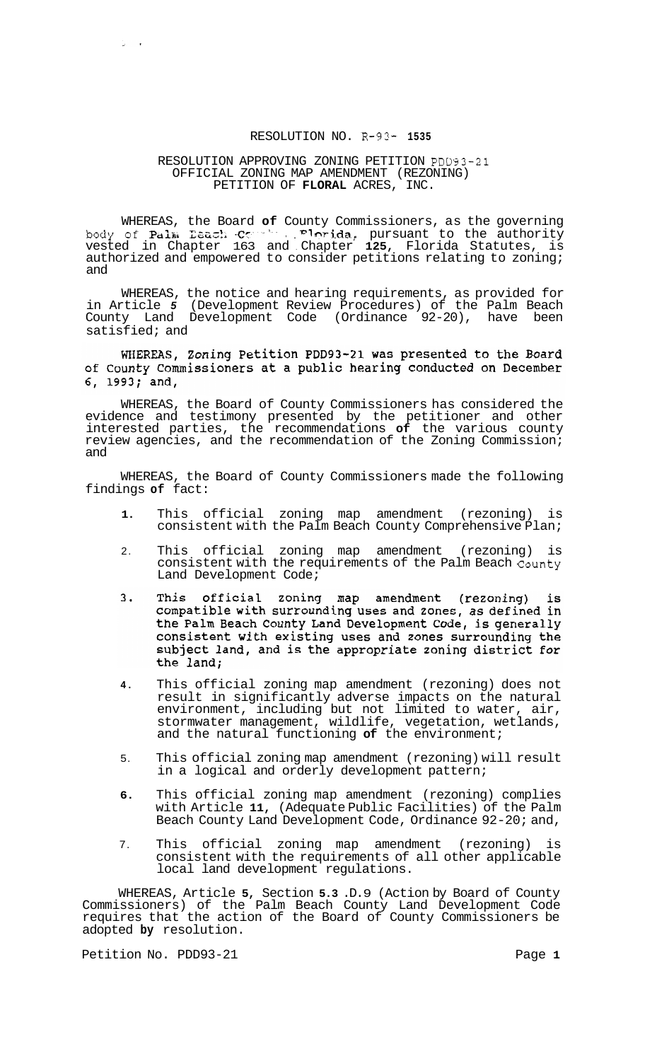# RESOLUTION NO. R-93- **1535**

## RESOLUTION APPROVING ZONING PETITION PDD93-21 PETITION OF **FLORAL** ACRES, INC. OFFICIAL ZONING MAP AMENDMENT (REZONING)

WHEREAS, the Board **of** County Commissioners, as the governing vested in Chapter 163 and . Chapter **125,** Florida Statutes, is authorized and empowered to consider petitions relating to zoning; and body of P~ihi *ZGCZ!;* - "-- ,. **nrida.,** pursuant to the authority

WHEREAS, the notice and hearing requirements, as provided for in Article *5* (Development Review Procedures) of the Palm Beach County Land Development Code (Ordinance 92-20), have been satisfied; and

WHEREAS, Zoning Petition PDD93-21 was presented to the Board of County Commissioners at a public hearing conducted on December 6, 1993; and,

WHEREAS, the Board of County Commissioners has considered the evidence and testimony presented by the petitioner and other interested parties, the recommendations **of** the various county review agencies, and the recommendation of the Zoning Commission; and

WHEREAS, the Board of County Commissioners made the following findings **of** fact:

- **1.** This official zoning map amendment (rezoning) is consistent with the Palm Beach County Comprehensive Plan;
- 2. This official zoning map amendment (rezoning) is consistent with the requirements of the Palm Beach County Land Development Code;
- official zoning map amendment (rezoning)  $3.$ This is compatible with surrounding uses and zones, as defined in the Palm Beach County Land Development Code, is generally consistent with existing uses and zones surrounding the subject land, and is the appropriate zoning district for the land;
- **4.** This official zoning map amendment (rezoning) does not result in significantly adverse impacts on the natural environment, including but not limited to water, air, stormwater management, wildlife, vegetation, wetlands, and the natural functioning **of** the environment;
- 5. This official zoning map amendment (rezoning) will result in a logical and orderly development pattern;
- **6.** This official zoning map amendment (rezoning) complies with Article **11,** (Adequate Public Facilities) of the Palm Beach County Land Development Code, Ordinance 92-20; and,
- 7. This official zoning map amendment (rezoning) is consistent with the requirements of all other applicable local land development regulations.

WHEREAS, Article **5,** Section **5.3** .D. 9 (Action by Board of County Commissioners) of the Palm Beach County Land Development Code requires that the action of the Board of County Commissioners be adopted **by** resolution.

Petition No. PDD93-21 Page 1

 $\mathbb{Z}^{\times} \rightarrow \mathbb{R}$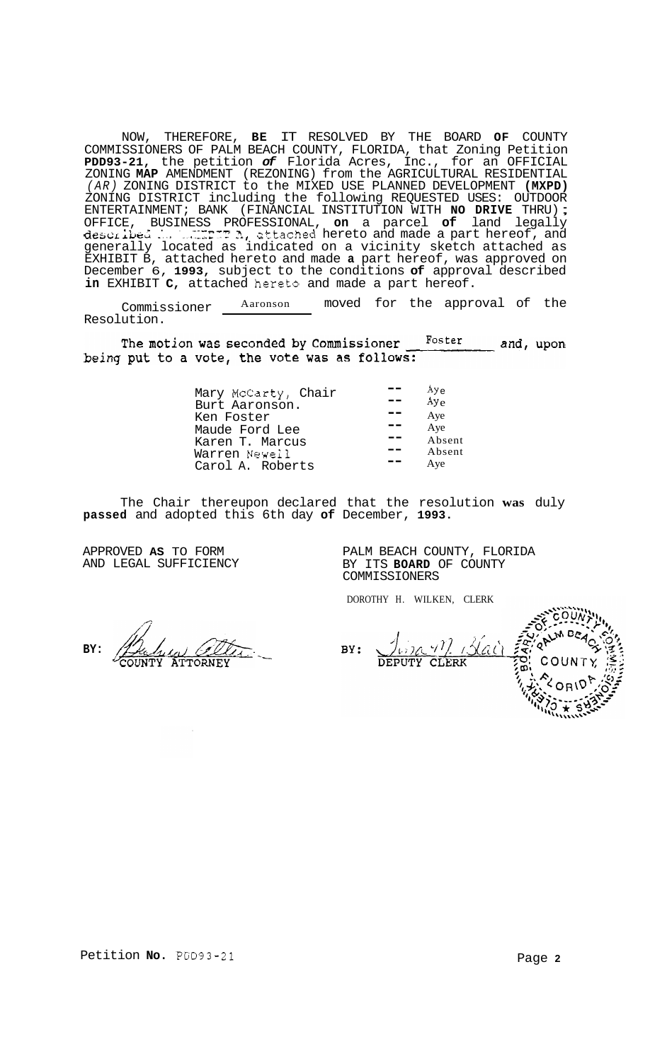NOW, THEREFORE, **BE** IT RESOLVED BY THE BOARD **OF** COUNTY COMMISSIONERS OF PALM BEACH COUNTY, FLORIDA, that Zoning Petition **PDD93-21,** the petition *of* Florida Acres, Inc., for an OFFICIAL ZONING **MAP** AMENDMENT (REZONING) from the AGRICULTURAL RESIDENTIAL *(AR)* ZONING DISTRICT to the MIXED USE PLANNED DEVELOPMENT **(MXPD)**  ZONING DISTRICT including the following REQUESTED USES: OUTDOOR ENTERTAINMENT; BANK (FINANCIAL INSTITUTION WITH **NO DRIVE** THRU) ; OFFICE, BUSINESS PROFESSIONAL, **on** a parcel **of** land legally described ... ... **The a postume**, will a part of the latter regard, generally located as indicated on a vicinity sketch attached as EXHIBIT B, attached hereto and made **a** part hereof, was approved on December 6, **1993,** subject to the conditions **of** approval described in EXHIBIT **C**, attached hereto and made a part hereof. .<br>BUSINESS PROF<br>Array **Little Communication** 

Commissioner Aaronson moved for the approval of the Resolution.

Foster The motion was seconded by Commissioner and, upon being put to a vote, the vote was as follows:

| Mary McCarty, Chair | Aye             |
|---------------------|-----------------|
| Burt Aaronson.      | Ay <sub>e</sub> |
| Ken Foster          | Aye             |
| Maude Ford Lee      | Aye             |
| Karen T. Marcus     | Absent          |
| Warren Newell       | Absent          |
| Carol A. Roberts    | Ave             |

The Chair thereupon declared that the resolution **was** duly **passed** and adopted this 6th day **of** December, **1993.** 

APPROVED **AS** TO FORM AND LEGAL SUFFICIENCY

PALM BEACH COUNTY, FLORIDA BY ITS **BOARD** OF COUNTY COMMISSIONERS

DOROTHY H. WILKEN, CLERK

BY: *Puluu Olti* 

BY: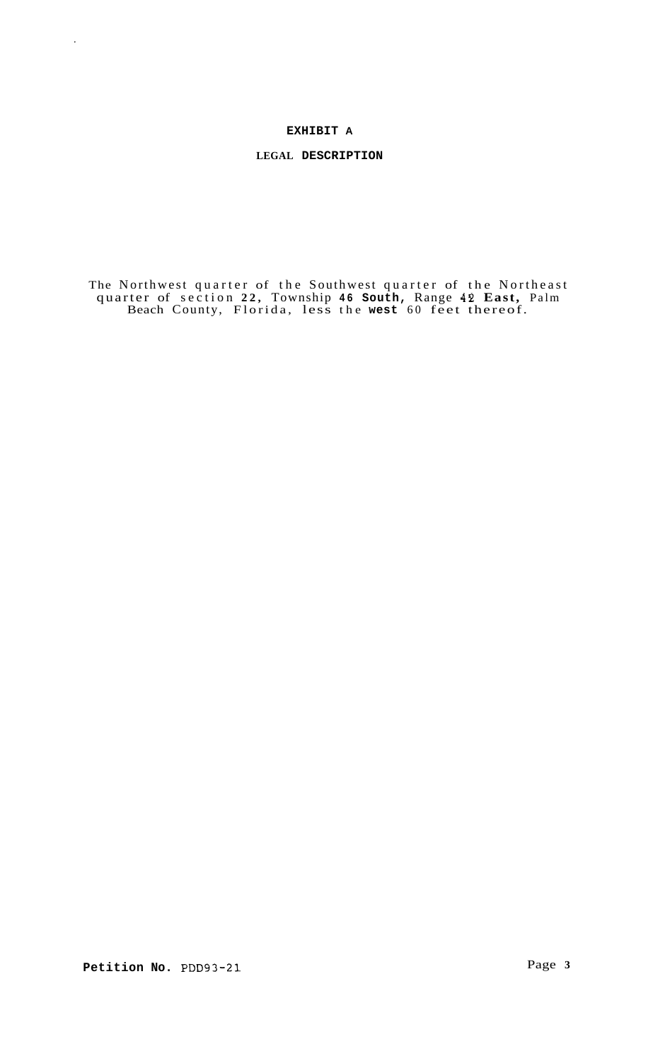# **EXHIBIT A**

 $\hat{\mathcal{L}}$ 

# **LEGAL DESCRIPTION**

The Northwest quarter of the Southwest quarter of the Northeast quarter of section **22,** Township **46 South,** Range **42 East,** Palm Beach County, Florida, less the **west** 60 feet thereof.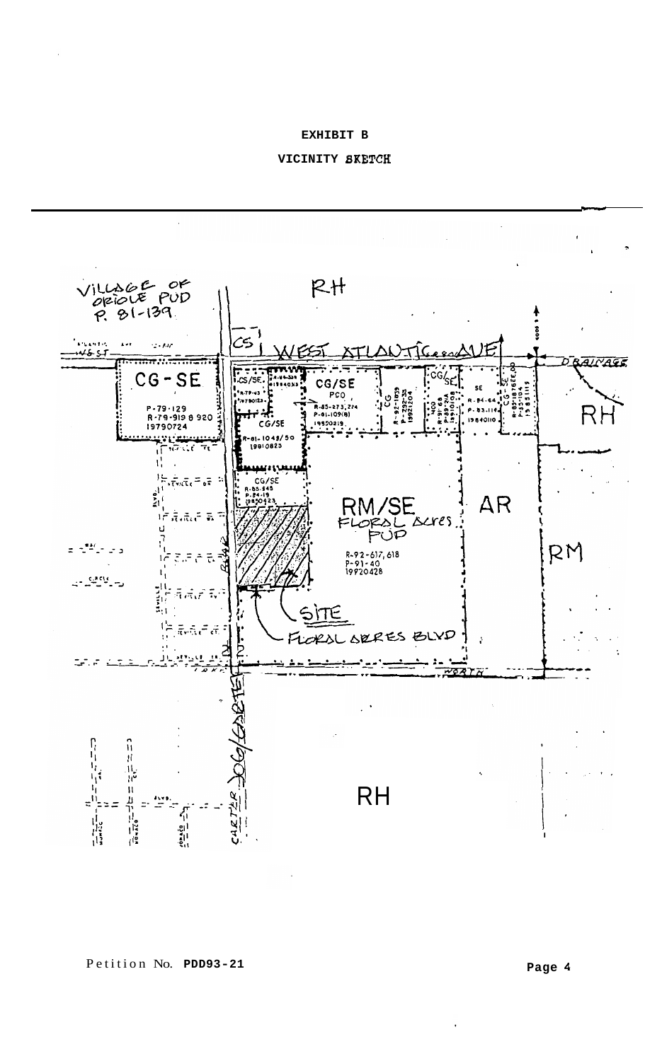# **EXHIBIT B**

# **VICINITY BKETCK**

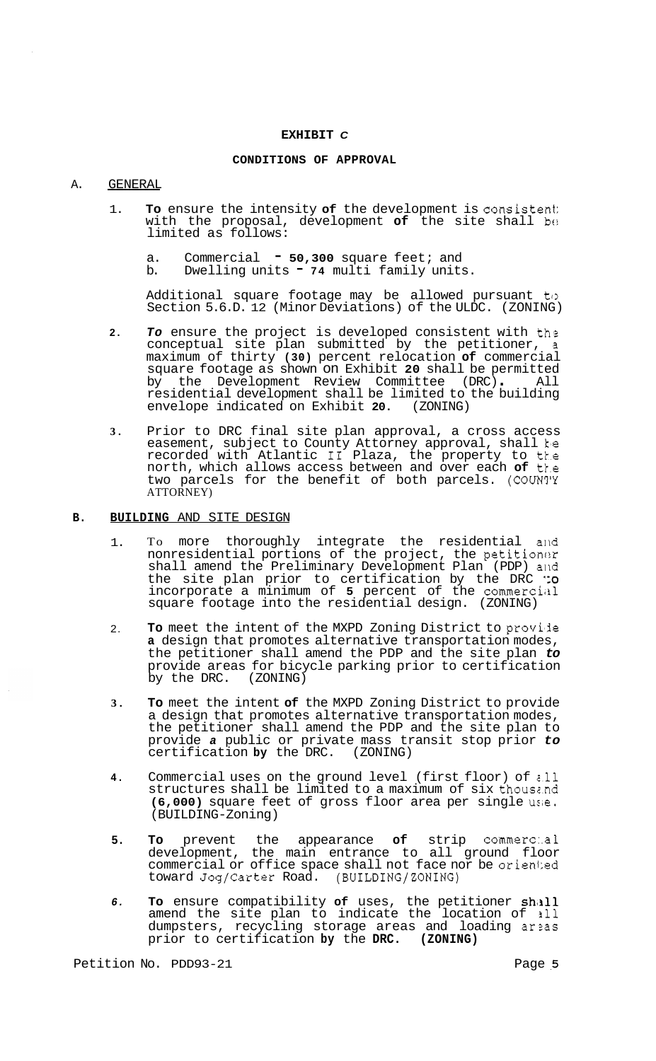#### **EXHIBIT** *C*

#### **CONDITIONS OF APPROVAL**

#### A. GENERAL

- 1. **To** ensure the intensity **of** the development is consistent; with the proposal, development of the site shall be limited as follows:
	- a. Commercial **50,300** square feet; and
	- b. Dwelling units **74** multi family units.

Additional square footage may be allowed pursuant to Section 5.6.D. 12 (Minor Deviations) of the ULDC. (ZONING)

- **2. To** ensure the project is developed consistent with the conceptual site plan submitted by the petitioner, **3**  maximum of thirty **(30)** percent relocation **of** commercial square footage as shown on Exhibit **20** shall be permitted by the Development Review Committee (DRC) . All residential development shall be limited to the building<br>envelope indicated on Exhibit 20. (ZONING) envelope indicated on Exhibit 20.
- **3.** Prior to DRC final site plan approval, a cross access easement, subject to County Attorney approval, shall  $\mathfrak k$ e recorded with Atlantic **I1** Plaza, the property to tk.e north, which allows access between and over each **of** tk.e two parcels for the benefit of both parcels. (COUN1'Y ATTORNEY)
- **B. BUILDING** AND SITE DESIGN
	- 1. To more thoroughly integrate the residential alld nonresidential portions of the project, the petitioner shall amend the Preliminary Development Plan (PDP) alld the site plan prior to certification by the DRC *'-0*  incorporate a minimum of 5 percent of the commercial square footage into the residential design. (ZONING)
	- 2. To meet the intent of the MXPD Zoning District to provide **a** design that promotes alternative transportation modes, the petitioner shall amend the PDP and the site plan *to*  provide areas for bicycle parking prior to certification<br>by the DRC. (ZONING) by the DRC.
	- **3. To** meet the intent **of** the MXPD Zoning District to provide a design that promotes alternative transportation modes, the petitioner shall amend the PDP and the site plan to provide *a* public or private mass transit stop prior *to*  certification **by** the DRC. (ZONING)
	- **4.**  Commercial uses on the ground level (first floor) of all structures shall be limited to a maximum of six thousz.nd **(6,000)** square feet of gross floor area per single use. (BUILDING-Zoning)
	- **5. To** prevent the appearance **of** strip commerc:.al development, the main entrance to all ground floor commercial or office space shall not face nor be oriented toward Jog/Carter Road. (BUILDING/ZONING)
	- *6.*  **To** ensure compatibility of uses, the petitioner shall amend the site plan to indicate the location of sll dumpsters, recycling storage areas and loading arzas prior to certification **by** the **DRC. (ZONING)**

Petition No. PDD93-21 **Page 5 Page 5**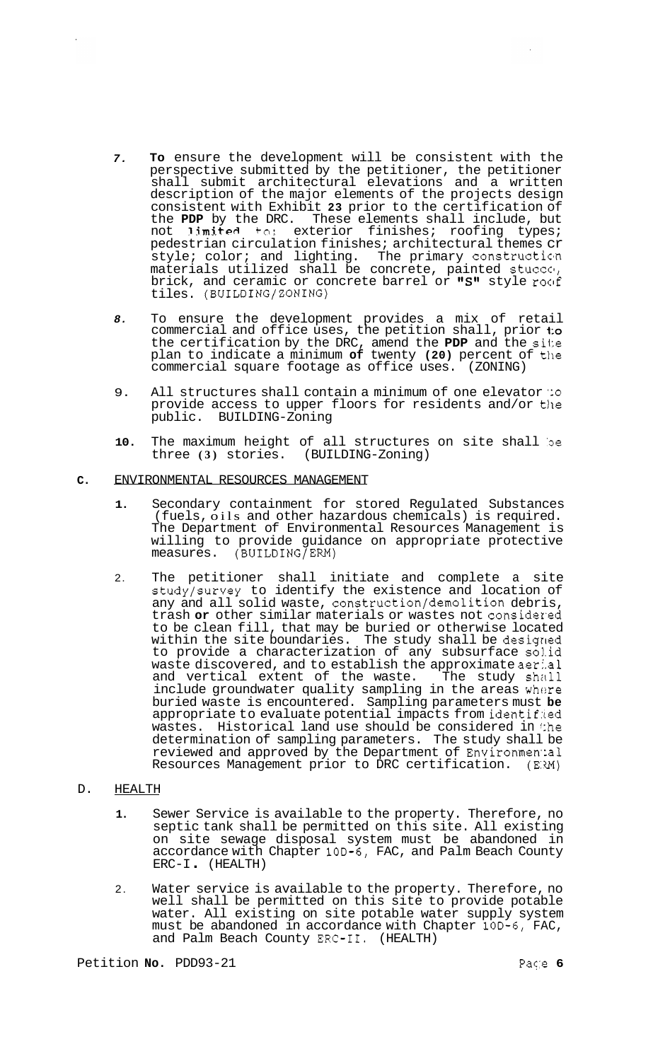- *7.* **To** ensure the development will be consistent with the perspective submitted by the petitioner, the petitioner shall submit architectural elevations and a written description of the major elements of the projects design consistent with Exhibit **23** prior to the certification of the **PDP** by the DRC. These elements shall include, but not limited to: exterior finishes; roofing types; pedestrian circulation finishes; architectural themes cr style; color; and lighting. The primary construction materials utilized shall be concrete, painted stucco, brick, and ceramic or concrete barrel or "S" style roof tiles. (BUILDING/ZONING)
- *8.* To ensure the development provides a mix of retail commercial and office uses, the petition shall, prior **to**  the certification by the DRC, amend the **PDP** and the site plan to indicate a minimum **of** twenty **(20)** percent of the commercial square footage as office uses. (ZONING)
- 9. All structures shall contain a minimum of one elevator **'50**  provide access to upper floors for residents and/or the public. BUILDING-Zoning
- **10.** The maximum height of all structures on site shall be three (3) stories. (BUILDING-Zoning) three (3) stories.

### **C.** ENVIRONMENTAL RESOURCES MANAGEMENT

- **1.** Secondary containment for stored Regulated Substances (fuels, oils and other hazardous chemicals) is required. The Department of Environmental Resources Management is willing to provide guidance on appropriate protective<br>measures. (BUILDING/ERM) measures. (BUILDING/ERM)
- 2. The petitioner shall initiate and complete a site study/survey to identify the existence and location of any and all solid waste, construction/demolition debris, trash **or** other similar materials or wastes not considered to be clean fill, that may be buried or otherwise located within the site boundaries. The study shall be designed to provide a characterization of any subsurface sol.id waste discovered, and to establish the approximate aerial<br>and vertical extent of the waste. The study shall and vertical extent of the waste. include groundwater quality sampling in the areas where buried waste is encountered. Sampling parameters must **be**  appropriate to evaluate potential impacts from identified wastes. Historical land use should be considered in the determination of sampling parameters. The study shall be reviewed and approved by the Department of Environmen'lal Resources Management prior to DRC certification. (ERM)
- D. HEALTH
	- **1.** Sewer Service is available to the property. Therefore, no septic tank shall be permitted on this site. All existing on site sewage disposal system must be abandoned in accordance with Chapter **10D-6,** FAC, and Palm Beach County ERC-I . (HEALTH)
	- 2. Water service is available to the property. Therefore, no well shall be permitted on this site to provide potable water. All existing on site potable water supply system must be abandoned in accordance with Chapter 10D-6, FAC, and Palm Beach County ERC-11. (HEALTH)

Petition **No.** PDD93-21 **Page 6**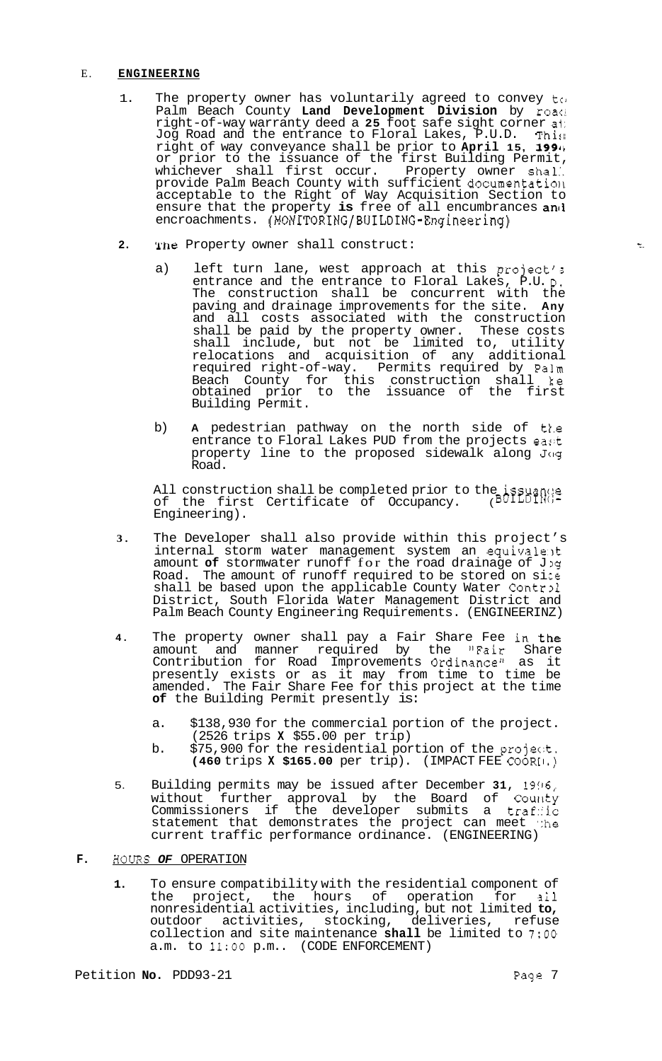## E. **ENGINEERING**

- 1. The property owner has voluntarily agreed to convey to Palm Beach County **Land Development Division** by roaci right-of-way warranty deed a **25** foot safe sight corner al: Jog Road and the entrance to Floral Lakes, P.U.D. Thizr right of way conveyance shall be prior to **April 15, 19941**  or prior to the issuance of the first Building Permit, whichever shall first occur. Property owner shal:. provide Palm Beach County with sufficient documentatiol~ acceptable to the Right of Way Acquisition Section to ensure that the property is free of all encumbrances and encroachments. **(MONITORING/BUILDING-Engineering)**
- 2. The Property owner shall construct:
	- a) left turn lane, west approach at this project's entrance and the entrance to Floral Lakes, P.U. **D.**  The construction shall be concurrent with the paving and drainage improvements for the site. **Any**  and all costs associated with the construction shall be paid by the property owner. These costs shall include, but not be limited to, utility relocations and acquisition of any additional required right-of-way. Permits required by Palm Beach County for this construction shall ke obtained prior to the issuance of the first Building Permit.
	- b) A pedestrian pathway on the north side of the entrance to Floral Lakes PUD from the projects east property line to the proposed sidewalk along Jog Road.

All construction shall be completed prior to the issuance of the first Certificate of Occupancy. (BUILDING-Engineering).

- **3.** The Developer shall also provide within this project's internal storm water management system an equivalelt amount of stormwater runoff for the road drainage of J<sub>3g</sub> Road. The amount of runoff required to be stored on si:e shall be based upon the applicable County Water Control District, South Florida Water Management District and Palm Beach County Engineering Requirements. (ENGINEERINZ)
- **4.** The property owner shall pay a Fair Share Fee in **the**  amount and manner required by the "Fair Share Contribution for Road Improvements Ordinance" as it presently exists or as it may from time to time be amended. The Fair Share Fee for this project at the time **of** the Building Permit presently is:
	- a. \$138,930 for the commercial portion of the project. (2526 trips **X** \$55.00 per trip)
	- b. \$75,900 for the residential portion of the project. **(460** trips **X \$165.00** per trip). (IMPACT FEE COORII.)
- 5. Building permits may be issued after December **31,** 19!16, without further approval by the Board of Coullty Commissioners if the developer submits a traf:!ic statement that demonstrates the project can meet the current traffic performance ordinance. (ENGINEERING)

# **F.** HOURS *OF* OPERATION

**1.** To ensure compatibility with the residential component of the project, the hours of operation for sll nonresidential activities, including, but not limited **to,**  outdoor activities, stocking, deliveries, refuse collection and site maintenance **shall** be limited to **7:OO**  a.m. to **11:OO** p.m.. (CODE ENFORCEMENT)

 $\frac{1}{2\pi}$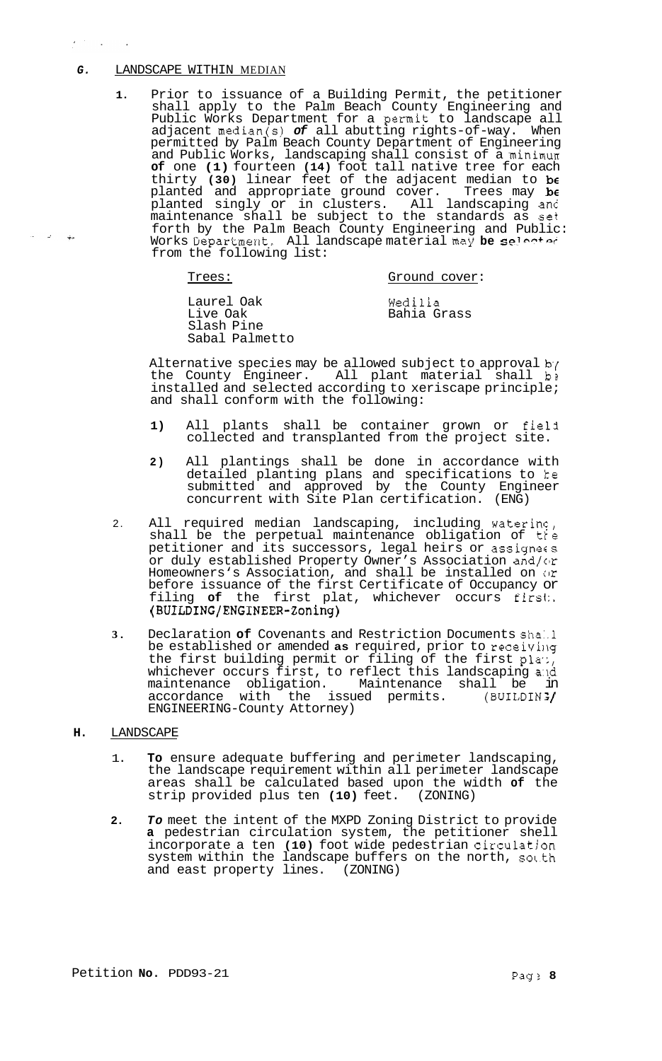# *G.* LANDSCAPE WITHIN MEDIAN

لمهار الأسرار المد

**1.** Prior to issuance of a Building Permit, the petitioner shall apply to the Palm Beach County Engineering and Public Works Department for a permit to landscape all adjacent median(s) *of* all abutting rights-of-way. When permitted by Palm Beach County Department of Engineering and Public Works, landscaping shall consist of a minimum **of** one **(1)** fourteen **(14)** foot tall native tree for each thirty **(30)** linear feet of the adjacent median to be planted and appropriate ground cover. Trees may be planted singly or in clusters. All landscaping anc maintenance shall be subject to the standards as set forth by the Palm Beach County Engineering and Public: Works Department. All landscape material may be selected from the following list:

# Trees: Ground cover:

Laurel Oak Live Oak Slash Pine Sabal Palmetto Wedilia Bahia Grass

Alternative species may be allowed subject to approval b<sub>(</sub> the County Engineer. All plant material shall **b?**  installed and selected according to xeriscape principle; and shall conform with the following:

- **1)** All plants shall be container grown or fieli collected and transplanted from the project site.
- **2)** All plantings shall be done in accordance with detailed planting plans and specifications to *te*  submitted and approved by the County Engineer concurrent with Site Plan certification. (ENG)
- 2. All required median landscaping, including waterinc, shall be the perpetual maintenance obligation of tre petitioner and its successors, legal heirs or assignees or duly established Property Owner's Association and/or Homeowners's Association, and shall be installed on  $\alpha$ before issuance of the first Certificate of Occupancy or filing **of** the first plat, whichever occurs firsl:. **(BUILDING/ENGINEER-Zoning)**
- **3.** Declaration **of** Covenants and Restriction Documents sha:.l be established or amended as required, prior to receiving the first building permit or filing of the first  $\mathfrak{pla}$ ., whichever occurs first, to reflect this landscaping a:ld maintenance obligation. Maintenance shall be in accordance with the issued permits. (BUILDIN *2/*  ENGINEERING-County Attorney)

## **H.** LANDSCAPE

- 1. **To** ensure adequate buffering and perimeter landscaping, the landscape requirement within all perimeter landscape areas shall be calculated based upon the width **of** the strip provided plus ten (10) feet.
- **2.** *To* meet the intent of the MXPD Zoning District to provide **a** pedestrian circulation system, the petitioner shell incorporate a ten **(10)** foot wide pedestrian circulatjon system within the landscape buffers on the north, solth and east property lines. (ZONING)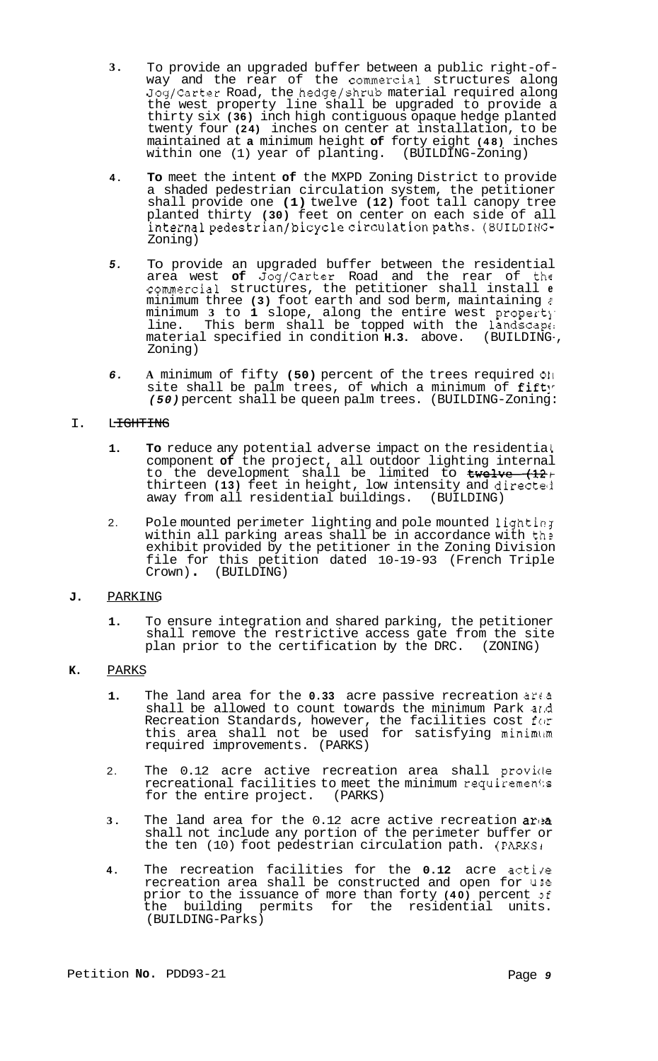- **3.** To provide an upgraded buffer between a public right-of- way and the rear of the commercial structures along Jog/Carter Road, the hedgejshrub material required along the west property line shall be upgraded to provide a thirty six **(36)** inch high contiguous opaque hedge planted twenty four **(24)** inches on center at installation, to be maintained at **a** minimum height **of** forty eight **(48)** inches within one (1) year of planting. (BUILDING-Zoning)
- **4. To** meet the intent **of** the MXPD Zoning District to provide a shaded pedestrian circulation system, the petitioner shall provide one **(1)** twelve **(12)** foot tall canopy tree planted thirty **(30)** feet on center on each side of all **internalpedestrianjbicyclecirculationpaths.** (BUILDING-Zoning)
- *5.* To provide an upgraded buffer between the residential area west **of** JogjCarter Road and the rear of the commercial structures, the petitioner shall install **<sup>e</sup>** minimum three **(3)** foot earth and sod berm, maintaining **c'**  minimum **3** to **1** slope, along the entire west propert]' line. This berm shall be topped with the landscape material specified in condition **H.3.** above. (BUILDING-, Zoning)
- *6.* **A** minimum of fifty **(50)** percent of the trees required **OII**  site shall be palm trees, of which a minimum of fifty *(50)* percent shall be queen palm trees. (BUILDING-Zoning: line.<br>
materi<br>
Zoning<br>
6. A mini<br>
site s<br>
(50)p<br>
I. L<del>IGHTING</del><br>
1. To red

- **1.** To reduce any potential adverse impact on the residential component **of** the project, all outdoor lighting internal To reduce any potential adverse impact on the residential<br>component of the project, all outdoor lighting internal<br>to the development shall be limited to twelve (12)<br>thirteen (13) feet in height, low intensity and directed away from all residential buildings. (BUILDING)
- 2. Pole mounted perimeter lighting and pole mounted lighting within all parking areas shall be in accordance with the exhibit provided by the petitioner in the Zoning Division file for this petition dated 10-19-93 (French Triple Crown) . (BUILDING)

# **J.** PARKING

**1.** To ensure integration and shared parking, the petitioner shall remove the restrictive access gate from the site plan prior to the certification by the DRC. (ZONING)

# **K.** PARKS

- **1.** The land area for the **0.33** acre passive recreation  $\text{arg}$ shall be allowed to count towards the minimum Park ar.d Recreation Standards, however, the facilities cost for this area shall not be used for satisfying minimtim required improvements. (PARKS)
- 2. The 0.12 acre active recreation area shall provicle recreational facilities to meet the minimum requiremen1:s for the entire project. (PARKS)
- **3.** The land area for the 0.12 acre active recreation  $ar_3$ shall not include any portion of the perimeter buffer or the ten (10) foot pedestrian circulation path. (PARKS)
- **4.** The recreation facilities for the 0.12 acre active recreation area shall be constructed and open for *use*  prior to the issuance of more than forty (40) percent of the building permits for the residential units. (BUILDING-Parks)